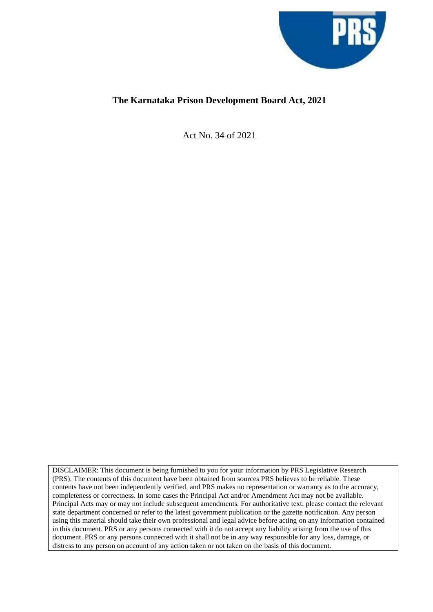

# **The Karnataka Prison Development Board Act, 2021**

Act No. 34 of 2021

DISCLAIMER: This document is being furnished to you for your information by PRS Legislative Research (PRS). The contents of this document have been obtained from sources PRS believes to be reliable. These contents have not been independently verified, and PRS makes no representation or warranty as to the accuracy, completeness or correctness. In some cases the Principal Act and/or Amendment Act may not be available. Principal Acts may or may not include subsequent amendments. For authoritative text, please contact the relevant state department concerned or refer to the latest government publication or the gazette notification. Any person using this material should take their own professional and legal advice before acting on any information contained in this document. PRS or any persons connected with it do not accept any liability arising from the use of this document. PRS or any persons connected with it shall not be in any way responsible for any loss, damage, or distress to any person on account of any action taken or not taken on the basis of this document.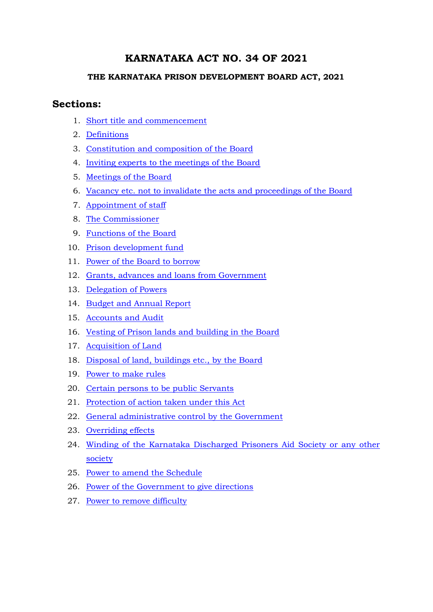# **KARNATAKA ACT NO. 34 OF 2021**

## **THE KARNATAKA PRISON DEVELOPMENT BOARD ACT, 2021**

# **Sections:**

- 1. [Short title and commencement](#page-3-0)
- 2. [Definitions](#page-3-1)
- 3. [Constitution and composition of the Board](#page-4-0)
- 4. [Inviting experts to the meetings of the Board](#page-5-0)
- 5. [Meetings of the Board](#page-5-1)
- 6. [Vacancy etc. not to invalidate the acts and proceedings of the Board](#page-6-0)
- 7. [Appointment of staff](#page-6-1)
- 8. [The Commissioner](#page-6-2)
- 9. [Functions of the Board](#page-6-3)
- 10. [Prison development fund](#page-7-0)
- 11. [Power of the Board to borrow](#page-8-0)
- 12. [Grants, advances and loans from Government](#page-8-1)
- 13. [Delegation of Powers](#page-8-2)
- 14. [Budget and Annual Report](#page-8-3)
- 15. [Accounts and Audit](#page-9-0)
- 16. [Vesting of Prison lands and building in the Board](#page-9-1)
- 17. [Acquisition of Land](#page-9-2)
- 18. [Disposal of land, buildings etc., by the Board](#page-9-3)
- 19. [Power to make rules](#page-10-0)
- 20. [Certain persons to be public Servants](#page-11-0)
- <span id="page-1-0"></span>21. [Protection of action taken under this Act](#page-11-1)
- 22. [General administrative control by the Government](#page-11-2)
- 23. [Overriding effects](#page-11-3)
- 24. [Winding of the Karnataka Discharged Prisoners Aid Society or any other](#page-11-4)  [society](#page-11-4)
- 25. [Power to amend the Schedule](#page-11-5)
- 26. [Power of the Government to give directions](#page-12-0)
- 27. [Power to remove difficulty](#page-1-0)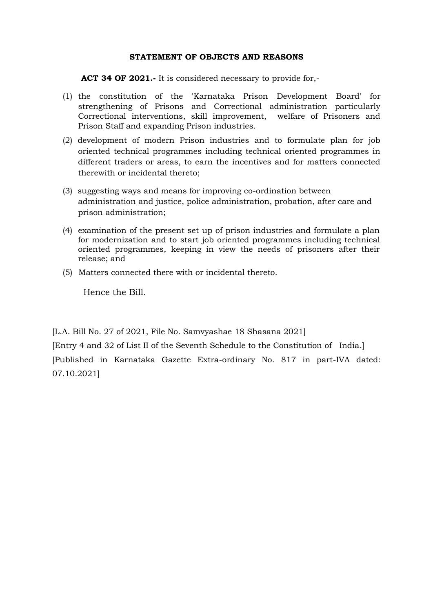### **STATEMENT OF OBJECTS AND REASONS**

 **ACT 34 OF 2021.-** It is considered necessary to provide for,-

- (1) the constitution of the 'Karnataka Prison Development Board' for strengthening of Prisons and Correctional administration particularly Correctional interventions, skill improvement, welfare of Prisoners and Prison Staff and expanding Prison industries.
- (2) development of modern Prison industries and to formulate plan for job oriented technical programmes including technical oriented programmes in different traders or areas, to earn the incentives and for matters connected therewith or incidental thereto;
- (3) suggesting ways and means for improving co-ordination between administration and justice, police administration, probation, after care and prison administration;
- (4) examination of the present set up of prison industries and formulate a plan for modernization and to start job oriented programmes including technical oriented programmes, keeping in view the needs of prisoners after their release; and
- (5) Matters connected there with or incidental thereto.

Hence the Bill.

[L.A. Bill No. 27 of 2021, File No. Samvyashae 18 Shasana 2021]

[Entry 4 and 32 of List II of the Seventh Schedule to the Constitution of India.] [Published in Karnataka Gazette Extra-ordinary No. 817 in part-IVA dated: 07.10.2021]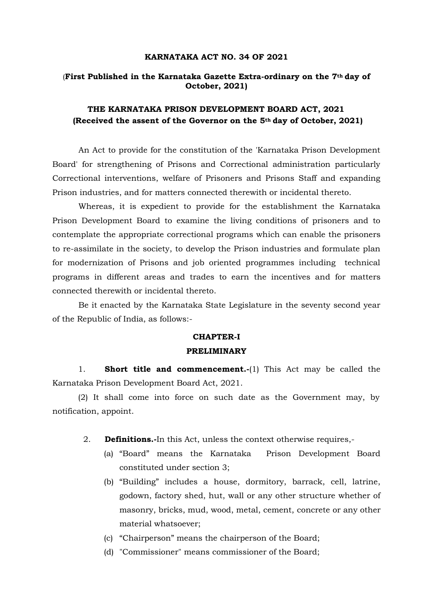### **KARNATAKA ACT NO. 34 OF 2021**

### (**First Published in the Karnataka Gazette Extra-ordinary on the 7th day of October, 2021)**

# **THE KARNATAKA PRISON DEVELOPMENT BOARD ACT, 2021 (Received the assent of the Governor on the 5th day of October, 2021)**

An Act to provide for the constitution of the 'Karnataka Prison Development Board' for strengthening of Prisons and Correctional administration particularly Correctional interventions, welfare of Prisoners and Prisons Staff and expanding Prison industries, and for matters connected therewith or incidental thereto.

Whereas, it is expedient to provide for the establishment the Karnataka Prison Development Board to examine the living conditions of prisoners and to contemplate the appropriate correctional programs which can enable the prisoners to re-assimilate in the society, to develop the Prison industries and formulate plan for modernization of Prisons and job oriented programmes including technical programs in different areas and trades to earn the incentives and for matters connected therewith or incidental thereto.

Be it enacted by the Karnataka State Legislature in the seventy second year of the Republic of India, as follows:-

#### **CHAPTER-I**

### **PRELIMINARY**

<span id="page-3-0"></span>1. **Short title and commencement.-**(1) This Act may be called the Karnataka Prison Development Board Act, 2021.

(2) It shall come into force on such date as the Government may, by notification, appoint.

- <span id="page-3-1"></span>2. **Definitions.-**In this Act, unless the context otherwise requires,-
	- (a) "Board" means the Karnataka Prison Development Board constituted under section 3;
	- (b) "Building" includes a house, dormitory, barrack, cell, latrine, godown, factory shed, hut, wall or any other structure whether of masonry, bricks, mud, wood, metal, cement, concrete or any other material whatsoever;
	- (c) "Chairperson" means the chairperson of the Board;
	- (d) "Commissioner" means commissioner of the Board;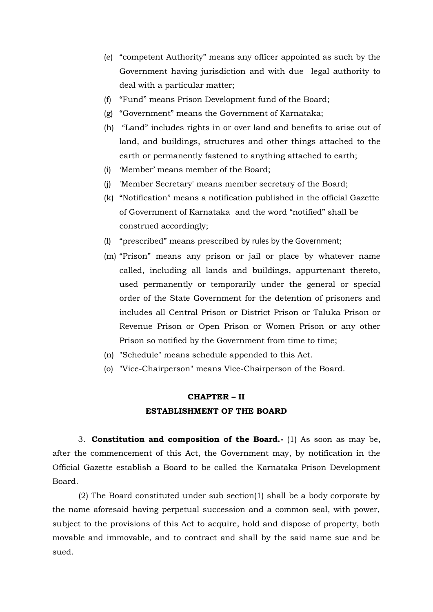- (e) "competent Authority" means any officer appointed as such by the Government having jurisdiction and with due legal authority to deal with a particular matter;
- (f) "Fund" means Prison Development fund of the Board;
- (g) "Government" means the Government of Karnataka;
- (h) "Land" includes rights in or over land and benefits to arise out of land, and buildings, structures and other things attached to the earth or permanently fastened to anything attached to earth;
- (i) 'Member' means member of the Board;
- (j) 'Member Secretary' means member secretary of the Board;
- (k) "Notification" means a notification published in the official Gazette of Government of Karnataka and the word "notified" shall be construed accordingly;
- (l) "prescribed" means prescribed by rules by the Government;
- (m) "Prison" means any prison or jail or place by whatever name called, including all lands and buildings, appurtenant thereto, used permanently or temporarily under the general or special order of the State Government for the detention of prisoners and includes all Central Prison or District Prison or Taluka Prison or Revenue Prison or Open Prison or Women Prison or any other Prison so notified by the Government from time to time;
- (n) "Schedule" means schedule appended to this Act.
- (o) "Vice-Chairperson" means Vice-Chairperson of the Board.

# **CHAPTER – II ESTABLISHMENT OF THE BOARD**

<span id="page-4-0"></span>3. **Constitution and composition of the Board.-** (1) As soon as may be, after the commencement of this Act, the Government may, by notification in the Official Gazette establish a Board to be called the Karnataka Prison Development Board.

(2) The Board constituted under sub section(1) shall be a body corporate by the name aforesaid having perpetual succession and a common seal, with power, subject to the provisions of this Act to acquire, hold and dispose of property, both movable and immovable, and to contract and shall by the said name sue and be sued.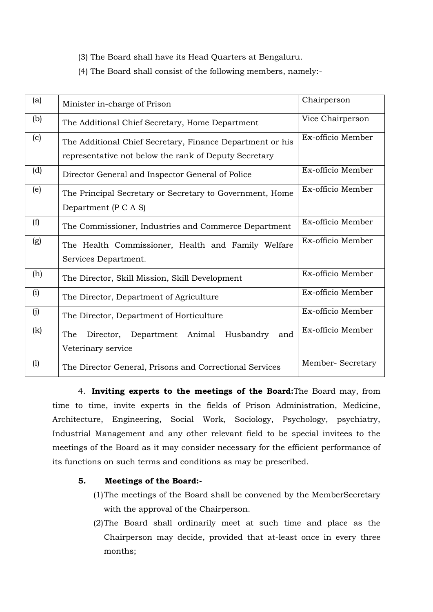- (3) The Board shall have its Head Quarters at Bengaluru.
- (4) The Board shall consist of the following members, namely:-

| (a) | Minister in-charge of Prison                                                                                       | Chairperson       |
|-----|--------------------------------------------------------------------------------------------------------------------|-------------------|
| (b) | The Additional Chief Secretary, Home Department                                                                    | Vice Chairperson  |
| (c) | The Additional Chief Secretary, Finance Department or his<br>representative not below the rank of Deputy Secretary | Ex-officio Member |
| (d) | Director General and Inspector General of Police                                                                   | Ex-officio Member |
| (e) | The Principal Secretary or Secretary to Government, Home<br>Department (P C A S)                                   | Ex-officio Member |
| (f) | The Commissioner, Industries and Commerce Department                                                               | Ex-officio Member |
| (g) | The Health Commissioner, Health and Family Welfare<br>Services Department.                                         | Ex-officio Member |
| (h) | The Director, Skill Mission, Skill Development                                                                     | Ex-officio Member |
| (i) | The Director, Department of Agriculture                                                                            | Ex-officio Member |
| (i) | The Director, Department of Horticulture                                                                           | Ex-officio Member |
| (k) | Director, Department Animal Husbandry<br>The<br>and<br>Veterinary service                                          | Ex-officio Member |
| (1) | The Director General, Prisons and Correctional Services                                                            | Member-Secretary  |

<span id="page-5-0"></span>4. **Inviting experts to the meetings of the Board:**The Board may, from time to time, invite experts in the fields of Prison Administration, Medicine, Architecture, Engineering, Social Work, Sociology, Psychology, psychiatry, Industrial Management and any other relevant field to be special invitees to the meetings of the Board as it may consider necessary for the efficient performance of its functions on such terms and conditions as may be prescribed.

### <span id="page-5-1"></span>**5. Meetings of the Board:-**

- (1)The meetings of the Board shall be convened by the MemberSecretary with the approval of the Chairperson.
- (2)The Board shall ordinarily meet at such time and place as the Chairperson may decide, provided that at-least once in every three months;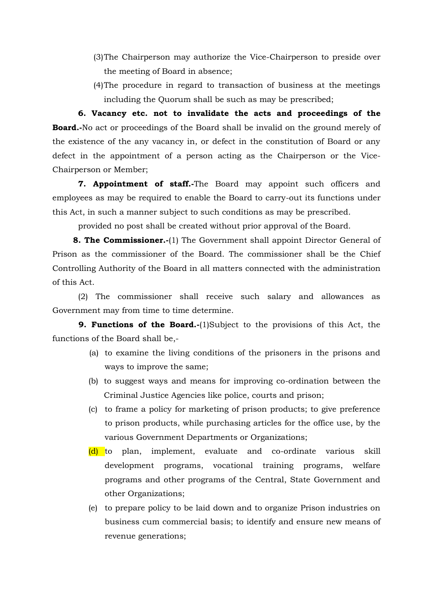- (3)The Chairperson may authorize the Vice-Chairperson to preside over the meeting of Board in absence;
- <span id="page-6-0"></span>(4)The procedure in regard to transaction of business at the meetings including the Quorum shall be such as may be prescribed;

**6. Vacancy etc. not to invalidate the acts and proceedings of the Board.-**No act or proceedings of the Board shall be invalid on the ground merely of the existence of the any vacancy in, or defect in the constitution of Board or any defect in the appointment of a person acting as the Chairperson or the Vice-Chairperson or Member;

<span id="page-6-1"></span>**7. Appointment of staff.-**The Board may appoint such officers and employees as may be required to enable the Board to carry-out its functions under this Act, in such a manner subject to such conditions as may be prescribed.

<span id="page-6-2"></span>provided no post shall be created without prior approval of the Board.

**8. The Commissioner.**-(1) The Government shall appoint Director General of Prison as the commissioner of the Board. The commissioner shall be the Chief Controlling Authority of the Board in all matters connected with the administration of this Act.

(2) The commissioner shall receive such salary and allowances as Government may from time to time determine.

**9. Functions of the Board.-**(1)Subject to the provisions of this Act, the functions of the Board shall be,-

- <span id="page-6-3"></span>(a) to examine the living conditions of the prisoners in the prisons and ways to improve the same;
- (b) to suggest ways and means for improving co-ordination between the Criminal Justice Agencies like police, courts and prison;
- (c) to frame a policy for marketing of prison products; to give preference to prison products, while purchasing articles for the office use, by the various Government Departments or Organizations;
- (d) to plan, implement, evaluate and co-ordinate various skill development programs, vocational training programs, welfare programs and other programs of the Central, State Government and other Organizations;
- (e) to prepare policy to be laid down and to organize Prison industries on business cum commercial basis; to identify and ensure new means of revenue generations;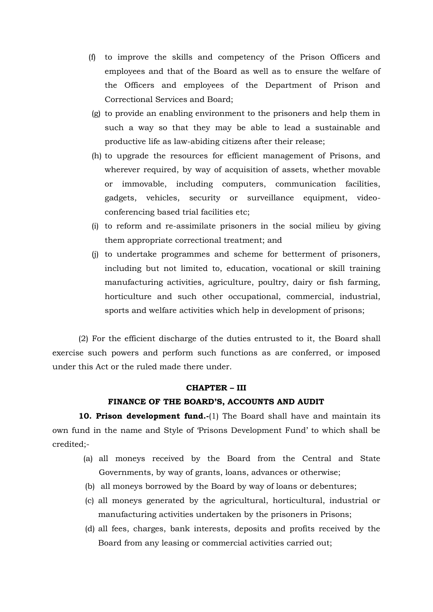- (f) to improve the skills and competency of the Prison Officers and employees and that of the Board as well as to ensure the welfare of the Officers and employees of the Department of Prison and Correctional Services and Board;
- (g) to provide an enabling environment to the prisoners and help them in such a way so that they may be able to lead a sustainable and productive life as law-abiding citizens after their release;
- (h) to upgrade the resources for efficient management of Prisons, and wherever required, by way of acquisition of assets, whether movable or immovable, including computers, communication facilities, gadgets, vehicles, security or surveillance equipment, videoconferencing based trial facilities etc;
- (i) to reform and re-assimilate prisoners in the social milieu by giving them appropriate correctional treatment; and
- (j) to undertake programmes and scheme for betterment of prisoners, including but not limited to, education, vocational or skill training manufacturing activities, agriculture, poultry, dairy or fish farming, horticulture and such other occupational, commercial, industrial, sports and welfare activities which help in development of prisons;

(2) For the efficient discharge of the duties entrusted to it, the Board shall exercise such powers and perform such functions as are conferred, or imposed under this Act or the ruled made there under.

### **CHAPTER – III**

#### <span id="page-7-0"></span>**FINANCE OF THE BOARD'S, ACCOUNTS AND AUDIT**

**10. Prison development fund.-**(1) The Board shall have and maintain its own fund in the name and Style of 'Prisons Development Fund' to which shall be credited;-

- (a) all moneys received by the Board from the Central and State Governments, by way of grants, loans, advances or otherwise;
- (b) all moneys borrowed by the Board by way of loans or debentures;
- (c) all moneys generated by the agricultural, horticultural, industrial or manufacturing activities undertaken by the prisoners in Prisons;
- (d) all fees, charges, bank interests, deposits and profits received by the Board from any leasing or commercial activities carried out;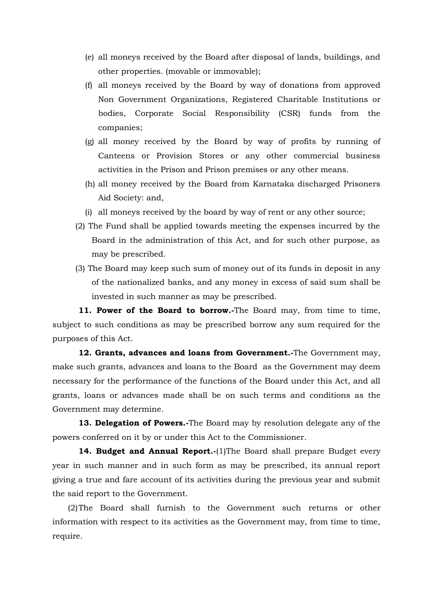- (e) all moneys received by the Board after disposal of lands, buildings, and other properties. (movable or immovable);
- (f) all moneys received by the Board by way of donations from approved Non Government Organizations, Registered Charitable Institutions or bodies, Corporate Social Responsibility (CSR) funds from the companies;
- (g) all money received by the Board by way of profits by running of Canteens or Provision Stores or any other commercial business activities in the Prison and Prison premises or any other means.
- (h) all money received by the Board from Karnataka discharged Prisoners Aid Society: and,
- (i) all moneys received by the board by way of rent or any other source;
- (2) The Fund shall be applied towards meeting the expenses incurred by the Board in the administration of this Act, and for such other purpose, as may be prescribed.
- (3) The Board may keep such sum of money out of its funds in deposit in any of the nationalized banks, and any money in excess of said sum shall be invested in such manner as may be prescribed.

<span id="page-8-0"></span>**11. Power of the Board to borrow.-**The Board may, from time to time, subject to such conditions as may be prescribed borrow any sum required for the purposes of this Act.

<span id="page-8-1"></span>**12. Grants, advances and loans from Government.-**The Government may, make such grants, advances and loans to the Board as the Government may deem necessary for the performance of the functions of the Board under this Act, and all grants, loans or advances made shall be on such terms and conditions as the Government may determine.

<span id="page-8-2"></span>**13. Delegation of Powers.-**The Board may by resolution delegate any of the powers conferred on it by or under this Act to the Commissioner.

<span id="page-8-3"></span>14. Budget and Annual Report.-(1)The Board shall prepare Budget every year in such manner and in such form as may be prescribed, its annual report giving a true and fare account of its activities during the previous year and submit the said report to the Government.

(2)The Board shall furnish to the Government such returns or other information with respect to its activities as the Government may, from time to time, require.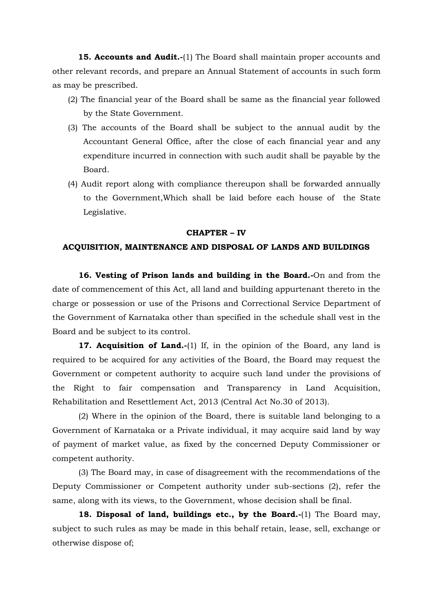<span id="page-9-0"></span>**15. Accounts and Audit.-**(1) The Board shall maintain proper accounts and other relevant records, and prepare an Annual Statement of accounts in such form as may be prescribed.

- (2) The financial year of the Board shall be same as the financial year followed by the State Government.
- (3) The accounts of the Board shall be subject to the annual audit by the Accountant General Office, after the close of each financial year and any expenditure incurred in connection with such audit shall be payable by the Board.
- (4) Audit report along with compliance thereupon shall be forwarded annually to the Government,Which shall be laid before each house of the State Legislative.

#### **CHAPTER – IV**

### **ACQUISITION, MAINTENANCE AND DISPOSAL OF LANDS AND BUILDINGS**

<span id="page-9-1"></span>**16. Vesting of Prison lands and building in the Board.-**On and from the date of commencement of this Act, all land and building appurtenant thereto in the charge or possession or use of the Prisons and Correctional Service Department of the Government of Karnataka other than specified in the schedule shall vest in the Board and be subject to its control.

<span id="page-9-2"></span>**17. Acquisition of Land.-**(1) If, in the opinion of the Board, any land is required to be acquired for any activities of the Board, the Board may request the Government or competent authority to acquire such land under the provisions of the Right to fair compensation and Transparency in Land Acquisition, Rehabilitation and Resettlement Act, 2013 (Central Act No.30 of 2013).

(2) Where in the opinion of the Board, there is suitable land belonging to a Government of Karnataka or a Private individual, it may acquire said land by way of payment of market value, as fixed by the concerned Deputy Commissioner or competent authority.

(3) The Board may, in case of disagreement with the recommendations of the Deputy Commissioner or Competent authority under sub-sections (2), refer the same, along with its views, to the Government, whose decision shall be final.

<span id="page-9-3"></span>**18. Disposal of land, buildings etc., by the Board.-**(1) The Board may, subject to such rules as may be made in this behalf retain, lease, sell, exchange or otherwise dispose of;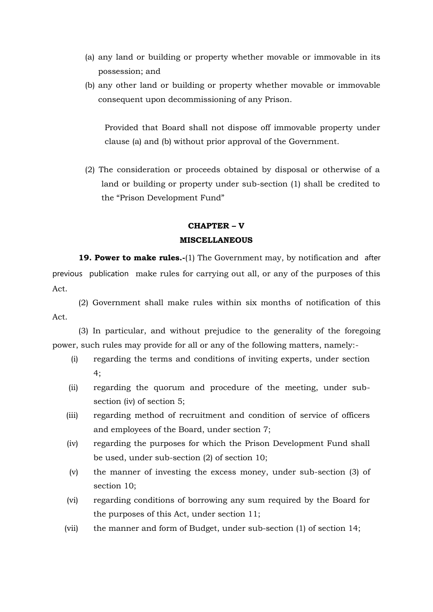- (a) any land or building or property whether movable or immovable in its possession; and
- (b) any other land or building or property whether movable or immovable consequent upon decommissioning of any Prison.

Provided that Board shall not dispose off immovable property under clause (a) and (b) without prior approval of the Government.

(2) The consideration or proceeds obtained by disposal or otherwise of a land or building or property under sub-section (1) shall be credited to the "Prison Development Fund"

### **CHAPTER – V**

#### **MISCELLANEOUS**

<span id="page-10-0"></span>**19. Power to make rules.-**(1) The Government may, by notification and after previous publication make rules for carrying out all, or any of the purposes of this Act.

(2) Government shall make rules within six months of notification of this Act.

(3) In particular, and without prejudice to the generality of the foregoing power, such rules may provide for all or any of the following matters, namely:-

- (i) regarding the terms and conditions of inviting experts, under section 4;
- (ii) regarding the quorum and procedure of the meeting, under subsection (iv) of section 5;
- (iii) regarding method of recruitment and condition of service of officers and employees of the Board, under section 7;
- (iv) regarding the purposes for which the Prison Development Fund shall be used, under sub-section (2) of section 10;
- (v) the manner of investing the excess money, under sub-section (3) of section 10;
- (vi) regarding conditions of borrowing any sum required by the Board for the purposes of this Act, under section 11;
- (vii) the manner and form of Budget, under sub-section (1) of section 14;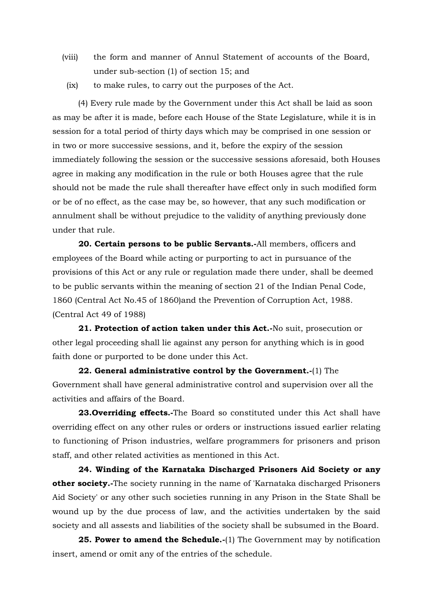- (viii) the form and manner of Annul Statement of accounts of the Board, under sub-section (1) of section 15; and
	- (ix) to make rules, to carry out the purposes of the Act.

(4) Every rule made by the Government under this Act shall be laid as soon as may be after it is made, before each House of the State Legislature, while it is in session for a total period of thirty days which may be comprised in one session or in two or more successive sessions, and it, before the expiry of the session immediately following the session or the successive sessions aforesaid, both Houses agree in making any modification in the rule or both Houses agree that the rule should not be made the rule shall thereafter have effect only in such modified form or be of no effect, as the case may be, so however, that any such modification or annulment shall be without prejudice to the validity of anything previously done under that rule.

<span id="page-11-0"></span>**20. Certain persons to be public Servants.-**All members, officers and employees of the Board while acting or purporting to act in pursuance of the provisions of this Act or any rule or regulation made there under, shall be deemed to be public servants within the meaning of section 21 of the Indian Penal Code, 1860 (Central Act No.45 of 1860)and the Prevention of Corruption Act, 1988. (Central Act 49 of 1988)

<span id="page-11-1"></span>**21. Protection of action taken under this Act.-**No suit, prosecution or other legal proceeding shall lie against any person for anything which is in good faith done or purported to be done under this Act.

<span id="page-11-2"></span>**22. General administrative control by the Government.-**(1) The Government shall have general administrative control and supervision over all the activities and affairs of the Board.

<span id="page-11-3"></span>**23.Overriding effects.-**The Board so constituted under this Act shall have overriding effect on any other rules or orders or instructions issued earlier relating to functioning of Prison industries, welfare programmers for prisoners and prison staff, and other related activities as mentioned in this Act.

<span id="page-11-4"></span>**24. Winding of the Karnataka Discharged Prisoners Aid Society or any other society.-**The society running in the name of 'Karnataka discharged Prisoners Aid Society' or any other such societies running in any Prison in the State Shall be wound up by the due process of law, and the activities undertaken by the said society and all assests and liabilities of the society shall be subsumed in the Board.

<span id="page-11-5"></span>**25. Power to amend the Schedule.-**(1) The Government may by notification insert, amend or omit any of the entries of the schedule.